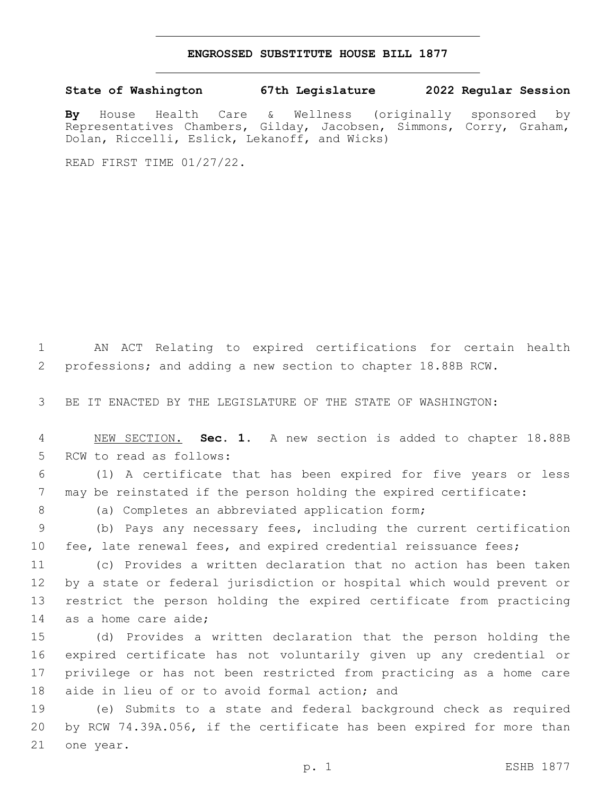## **ENGROSSED SUBSTITUTE HOUSE BILL 1877**

**State of Washington 67th Legislature 2022 Regular Session**

**By** House Health Care & Wellness (originally sponsored by Representatives Chambers, Gilday, Jacobsen, Simmons, Corry, Graham, Dolan, Riccelli, Eslick, Lekanoff, and Wicks)

READ FIRST TIME 01/27/22.

1 AN ACT Relating to expired certifications for certain health 2 professions; and adding a new section to chapter 18.88B RCW.

3 BE IT ENACTED BY THE LEGISLATURE OF THE STATE OF WASHINGTON:

4 NEW SECTION. **Sec. 1.** A new section is added to chapter 18.88B 5 RCW to read as follows:

6 (1) A certificate that has been expired for five years or less 7 may be reinstated if the person holding the expired certificate:

8 (a) Completes an abbreviated application form;

9 (b) Pays any necessary fees, including the current certification 10 fee, late renewal fees, and expired credential reissuance fees;

 (c) Provides a written declaration that no action has been taken by a state or federal jurisdiction or hospital which would prevent or restrict the person holding the expired certificate from practicing 14 as a home care aide;

 (d) Provides a written declaration that the person holding the expired certificate has not voluntarily given up any credential or privilege or has not been restricted from practicing as a home care 18 aide in lieu of or to avoid formal action; and

19 (e) Submits to a state and federal background check as required 20 by RCW 74.39A.056, if the certificate has been expired for more than 21 one year.